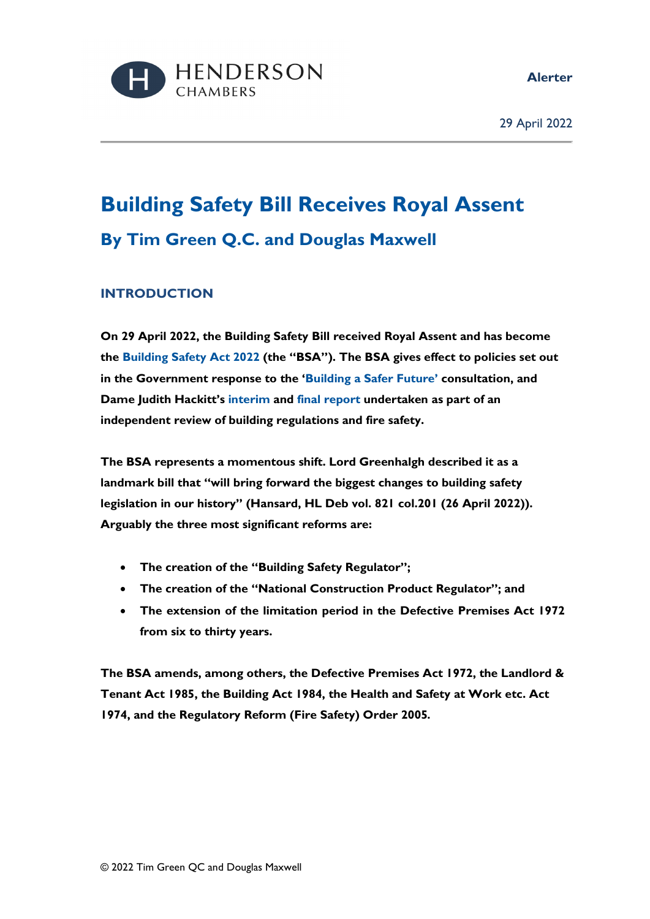



29 April 2022

# **Building Safety Bill Receives Royal Assent By Tim Green Q.C. and Douglas Maxwell**

## **INTRODUCTION**

**On 29 April 2022, the Building Safety Bill received Royal Assent and has become the [Building Safety Act 2022](https://bills.parliament.uk/bills/3021/publications) (the "BSA"). The BSA gives effect to policies set out in the Government response to the ['Building a Safer Future'](https://assets.publishing.service.gov.uk/government/uploads/system/uploads/attachment_data/file/877628/A_reformed_building_safety_regulatory_system_-_gvt_response_to_the_Building_a_Safer_Future_consultation.pdf) consultation, and Dame Judith Hackitt's [interim](https://assets.publishing.service.gov.uk/government/uploads/system/uploads/attachment_data/file/668831/Independent_Review_of_Building_Regulations_and_Fire_Safety_web_accessible.pdf) and [final report](https://assets.publishing.service.gov.uk/government/uploads/system/uploads/attachment_data/file/707785/Building_a_Safer_Future_-_web.pdf) undertaken as part of an independent review of building regulations and fire safety.** 

**The BSA represents a momentous shift. Lord Greenhalgh described it as a landmark bill that "will bring forward the biggest changes to building safety legislation in our history" (Hansard, HL Deb vol. 821 col.201 (26 April 2022)). Arguably the three most significant reforms are:** 

- **The creation of the "Building Safety Regulator";**
- **The creation of the "National Construction Product Regulator"; and**
- **The extension of the limitation period in the Defective Premises Act 1972 from six to thirty years.**

**The BSA amends, among others, the Defective Premises Act 1972, the Landlord & Tenant Act 1985, the Building Act 1984, the Health and Safety at Work etc. Act 1974, and the Regulatory Reform (Fire Safety) Order 2005***.*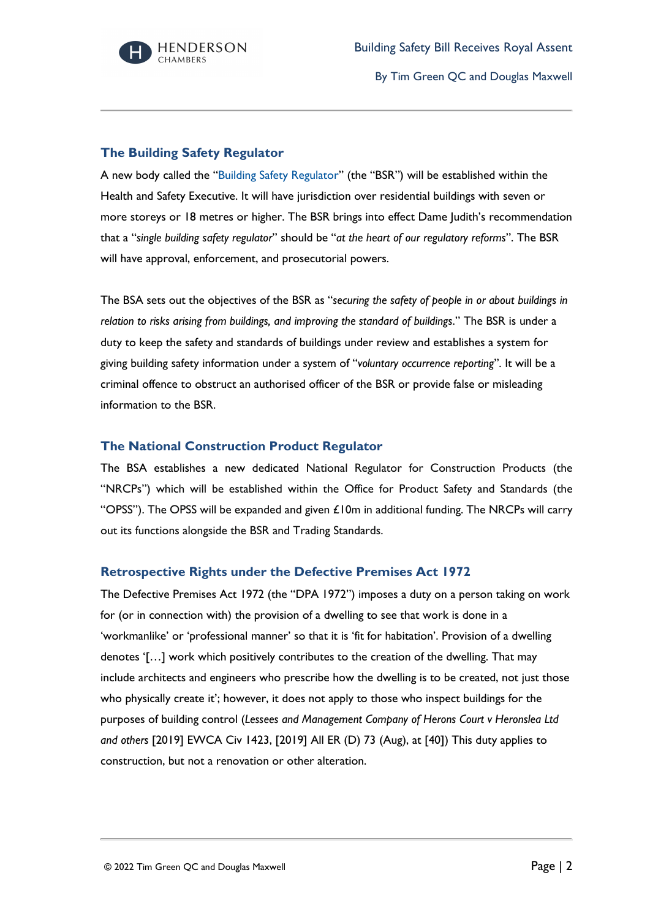

By Tim Green QC and Douglas Maxwell

### **The Building Safety Regulator**

A new body called the ["Building Safety Regulator"](https://www.hse.gov.uk/building-safety/regulator.htm) (the "BSR") will be established within the Health and Safety Executive. It will have jurisdiction over residential buildings with seven or more storeys or 18 metres or higher. The BSR brings into effect Dame Judith's recommendation that a "*single building safety regulator*" should be "*at the heart of our regulatory reforms*". The BSR will have approval, enforcement, and prosecutorial powers.

The BSA sets out the objectives of the BSR as "*securing the safety of people in or about buildings in relation to risks arising from buildings, and improving the standard of buildings*." The BSR is under a duty to keep the safety and standards of buildings under review and establishes a system for giving building safety information under a system of "*voluntary occurrence reporting*". It will be a criminal offence to obstruct an authorised officer of the BSR or provide false or misleading information to the BSR.

### **The National Construction Product Regulator**

The BSA establishes a new dedicated National Regulator for Construction Products (the "NRCPs") which will be established within the Office for Product Safety and Standards (the "OPSS"). The OPSS will be expanded and given  $\pounds$ 10m in additional funding. The NRCPs will carry out its functions alongside the BSR and Trading Standards.

### **Retrospective Rights under the Defective Premises Act 1972**

The Defective Premises Act 1972 (the "DPA 1972") imposes a duty on a person taking on work for (or in connection with) the provision of a dwelling to see that work is done in a 'workmanlike' or 'professional manner' so that it is 'fit for habitation'. Provision of a dwelling denotes '[…] work which positively contributes to the creation of the dwelling. That may include architects and engineers who prescribe how the dwelling is to be created, not just those who physically create it'; however, it does not apply to those who inspect buildings for the purposes of building control (*Lessees and Management Company of Herons Court v Heronslea Ltd and others* [2019] EWCA Civ 1423, [2019] All ER (D) 73 (Aug), at [40]) This duty applies to construction, but not a renovation or other alteration.